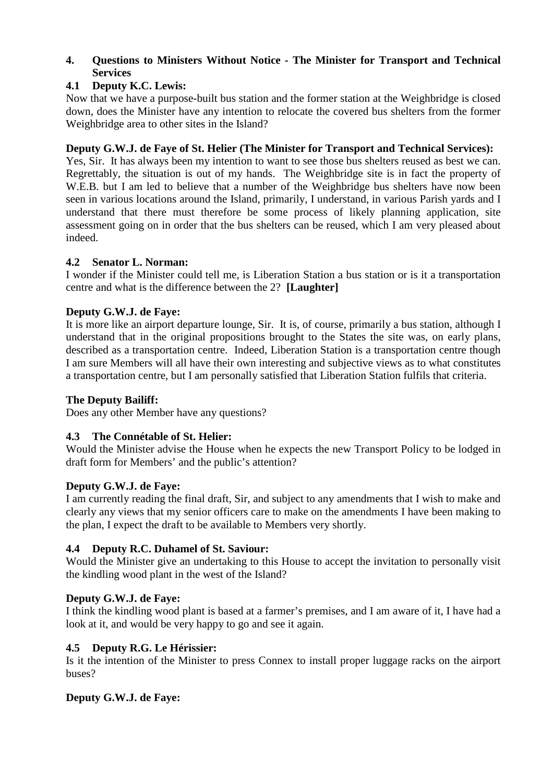## **4. Questions to Ministers Without Notice - The Minister for Transport and Technical Services**

# **4.1 Deputy K.C. Lewis:**

Now that we have a purpose-built bus station and the former station at the Weighbridge is closed down, does the Minister have any intention to relocate the covered bus shelters from the former Weighbridge area to other sites in the Island?

## **Deputy G.W.J. de Faye of St. Helier (The Minister for Transport and Technical Services):**

Yes, Sir. It has always been my intention to want to see those bus shelters reused as best we can. Regrettably, the situation is out of my hands. The Weighbridge site is in fact the property of W.E.B. but I am led to believe that a number of the Weighbridge bus shelters have now been seen in various locations around the Island, primarily, I understand, in various Parish yards and I understand that there must therefore be some process of likely planning application, site assessment going on in order that the bus shelters can be reused, which I am very pleased about indeed.

### **4.2 Senator L. Norman:**

I wonder if the Minister could tell me, is Liberation Station a bus station or is it a transportation centre and what is the difference between the 2? **[Laughter]** 

### **Deputy G.W.J. de Faye:**

It is more like an airport departure lounge, Sir. It is, of course, primarily a bus station, although I understand that in the original propositions brought to the States the site was, on early plans, described as a transportation centre. Indeed, Liberation Station is a transportation centre though I am sure Members will all have their own interesting and subjective views as to what constitutes a transportation centre, but I am personally satisfied that Liberation Station fulfils that criteria.

## **The Deputy Bailiff:**

Does any other Member have any questions?

## **4.3 The Connétable of St. Helier:**

Would the Minister advise the House when he expects the new Transport Policy to be lodged in draft form for Members' and the public's attention?

### **Deputy G.W.J. de Faye:**

I am currently reading the final draft, Sir, and subject to any amendments that I wish to make and clearly any views that my senior officers care to make on the amendments I have been making to the plan, I expect the draft to be available to Members very shortly.

### **4.4 Deputy R.C. Duhamel of St. Saviour:**

Would the Minister give an undertaking to this House to accept the invitation to personally visit the kindling wood plant in the west of the Island?

## **Deputy G.W.J. de Faye:**

I think the kindling wood plant is based at a farmer's premises, and I am aware of it, I have had a look at it, and would be very happy to go and see it again.

### **4.5 Deputy R.G. Le Hérissier:**

Is it the intention of the Minister to press Connex to install proper luggage racks on the airport buses?

### **Deputy G.W.J. de Faye:**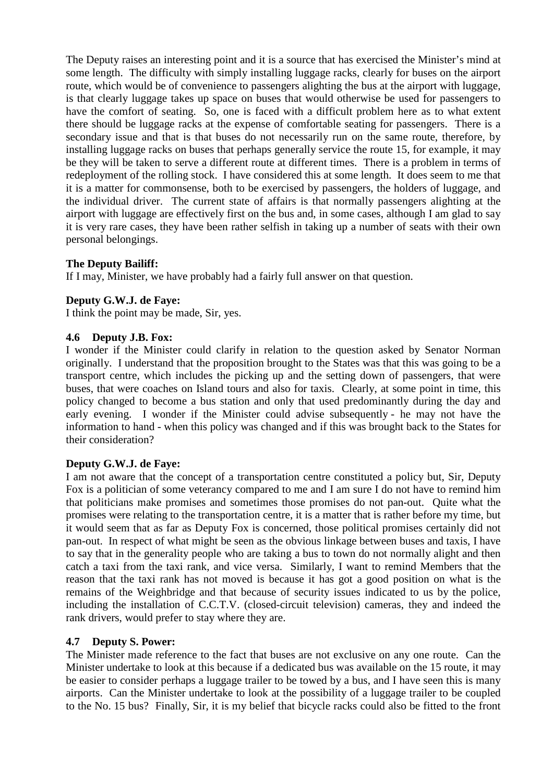The Deputy raises an interesting point and it is a source that has exercised the Minister's mind at some length. The difficulty with simply installing luggage racks, clearly for buses on the airport route, which would be of convenience to passengers alighting the bus at the airport with luggage, is that clearly luggage takes up space on buses that would otherwise be used for passengers to have the comfort of seating. So, one is faced with a difficult problem here as to what extent there should be luggage racks at the expense of comfortable seating for passengers. There is a secondary issue and that is that buses do not necessarily run on the same route, therefore, by installing luggage racks on buses that perhaps generally service the route 15, for example, it may be they will be taken to serve a different route at different times. There is a problem in terms of redeployment of the rolling stock. I have considered this at some length. It does seem to me that it is a matter for commonsense, both to be exercised by passengers, the holders of luggage, and the individual driver. The current state of affairs is that normally passengers alighting at the airport with luggage are effectively first on the bus and, in some cases, although I am glad to say it is very rare cases, they have been rather selfish in taking up a number of seats with their own personal belongings.

### **The Deputy Bailiff:**

If I may, Minister, we have probably had a fairly full answer on that question.

### **Deputy G.W.J. de Faye:**

I think the point may be made, Sir, yes.

### **4.6 Deputy J.B. Fox:**

I wonder if the Minister could clarify in relation to the question asked by Senator Norman originally. I understand that the proposition brought to the States was that this was going to be a transport centre, which includes the picking up and the setting down of passengers, that were buses, that were coaches on Island tours and also for taxis. Clearly, at some point in time, this policy changed to become a bus station and only that used predominantly during the day and early evening. I wonder if the Minister could advise subsequently - he may not have the information to hand - when this policy was changed and if this was brought back to the States for their consideration?

### **Deputy G.W.J. de Faye:**

I am not aware that the concept of a transportation centre constituted a policy but, Sir, Deputy Fox is a politician of some veterancy compared to me and I am sure I do not have to remind him that politicians make promises and sometimes those promises do not pan-out. Quite what the promises were relating to the transportation centre, it is a matter that is rather before my time, but it would seem that as far as Deputy Fox is concerned, those political promises certainly did not pan-out. In respect of what might be seen as the obvious linkage between buses and taxis, I have to say that in the generality people who are taking a bus to town do not normally alight and then catch a taxi from the taxi rank, and vice versa. Similarly, I want to remind Members that the reason that the taxi rank has not moved is because it has got a good position on what is the remains of the Weighbridge and that because of security issues indicated to us by the police, including the installation of C.C.T.V. (closed-circuit television) cameras, they and indeed the rank drivers, would prefer to stay where they are.

### **4.7 Deputy S. Power:**

The Minister made reference to the fact that buses are not exclusive on any one route. Can the Minister undertake to look at this because if a dedicated bus was available on the 15 route, it may be easier to consider perhaps a luggage trailer to be towed by a bus, and I have seen this is many airports. Can the Minister undertake to look at the possibility of a luggage trailer to be coupled to the No. 15 bus? Finally, Sir, it is my belief that bicycle racks could also be fitted to the front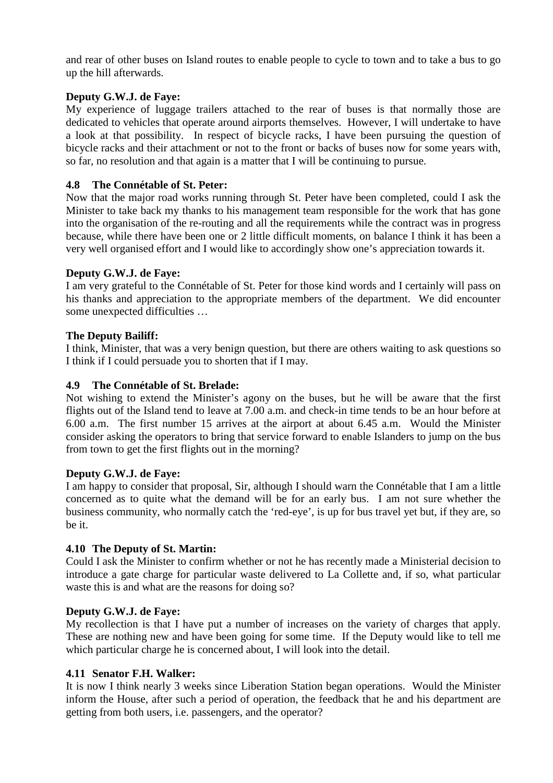and rear of other buses on Island routes to enable people to cycle to town and to take a bus to go up the hill afterwards.

## **Deputy G.W.J. de Faye:**

My experience of luggage trailers attached to the rear of buses is that normally those are dedicated to vehicles that operate around airports themselves. However, I will undertake to have a look at that possibility. In respect of bicycle racks, I have been pursuing the question of bicycle racks and their attachment or not to the front or backs of buses now for some years with, so far, no resolution and that again is a matter that I will be continuing to pursue.

### **4.8 The Connétable of St. Peter:**

Now that the major road works running through St. Peter have been completed, could I ask the Minister to take back my thanks to his management team responsible for the work that has gone into the organisation of the re-routing and all the requirements while the contract was in progress because, while there have been one or 2 little difficult moments, on balance I think it has been a very well organised effort and I would like to accordingly show one's appreciation towards it.

### **Deputy G.W.J. de Faye:**

I am very grateful to the Connétable of St. Peter for those kind words and I certainly will pass on his thanks and appreciation to the appropriate members of the department. We did encounter some unexpected difficulties …

### **The Deputy Bailiff:**

I think, Minister, that was a very benign question, but there are others waiting to ask questions so I think if I could persuade you to shorten that if I may.

### **4.9 The Connétable of St. Brelade:**

Not wishing to extend the Minister's agony on the buses, but he will be aware that the first flights out of the Island tend to leave at 7.00 a.m. and check-in time tends to be an hour before at 6.00 a.m. The first number 15 arrives at the airport at about 6.45 a.m. Would the Minister consider asking the operators to bring that service forward to enable Islanders to jump on the bus from town to get the first flights out in the morning?

### **Deputy G.W.J. de Faye:**

I am happy to consider that proposal, Sir, although I should warn the Connétable that I am a little concerned as to quite what the demand will be for an early bus. I am not sure whether the business community, who normally catch the 'red-eye', is up for bus travel yet but, if they are, so be it.

### **4.10 The Deputy of St. Martin:**

Could I ask the Minister to confirm whether or not he has recently made a Ministerial decision to introduce a gate charge for particular waste delivered to La Collette and, if so, what particular waste this is and what are the reasons for doing so?

### **Deputy G.W.J. de Faye:**

My recollection is that I have put a number of increases on the variety of charges that apply. These are nothing new and have been going for some time. If the Deputy would like to tell me which particular charge he is concerned about, I will look into the detail.

### **4.11 Senator F.H. Walker:**

It is now I think nearly 3 weeks since Liberation Station began operations. Would the Minister inform the House, after such a period of operation, the feedback that he and his department are getting from both users, i.e. passengers, and the operator?